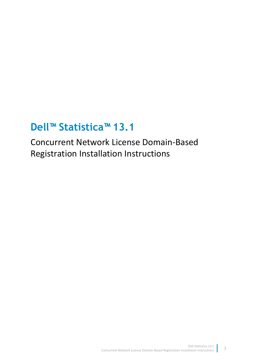# **Dell™ Statistica™ 13.1**

Concurrent Network License Domain-Based Registration Installation Instructions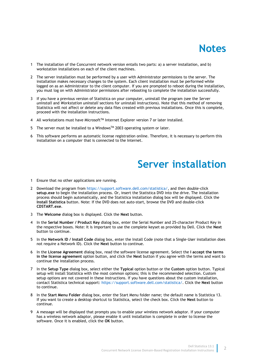#### **Notes**

- 1 The installation of the Concurrent network version entails two parts: a) a server installation, and b) workstation installations on each of the client machines.
- 2 The server installation must be performed by a user with Administrator permissions to the server. The installation makes necessary changes to the system. Each client installation must be performed while logged on as an Administrator to the client computer. If you are prompted to reboot during the installation, you must log on with Administrator permissions after rebooting to complete the installation successfully.
- 3 If you have a previous version of Statistica on your computer, uninstall the program (see the *Server uninstall* and *Workstation uninstall* sections for uninstall instructions). Note that this method of removing Statistica will not affect or delete any data files created with previous installations. Once this is complete, proceed with the installation instructions.
- 4 All workstations must have Microsoft<sup>TM</sup> Internet Explorer version 7 or later installed.
- 5 The server must be installed to a Windows<sup>TM</sup> 2003 operating system or later.
- 6 This software performs an automatic license registration online. Therefore, it is necessary to perform this installation on a computer that is connected to the Internet.

#### **Server installation**

- 1 Ensure that no other applications are running.
- 2 Download the program from [https://support.software.dell.com/statistica/,](https://support.software.dell.com/statistica/) and then double-click **setup.exe** to begin the installation process. Or, insert the Statistica DVD into the drive. The installation process should begin automatically, and the Statistica installation dialog box will be displayed. Click the **Install Statistica** button. Note: If the DVD does not auto-start, browse the DVD and double-click **CDSTART.exe**.
- 3 The **Welcome** dialog box is displayed. Click the **Next** button.
- 4 In the **Serial Number / Product Key** dialog box, enter the Serial Number and 25-character Product Key in the respective boxes. Note: It is important to use the complete keyset as provided by Dell. Click the **Next** button to continue.
- 5 In the **Network ID / Install Code** dialog box, enter the Install Code (note that a Single-User installation does not require a Network ID). Click the **Next** button to continue.
- 6 In the **License Agreement** dialog box, read the software license agreement. Select the **I accept the terms in the license agreement** option button, and click the **Next** button if you agree with the terms and want to continue the installation process.
- 7 In the **Setup Type** dialog box, select either the **Typical** option button or the **Custom** option button. Typical setup will install Statistica with the most common options; this is the recommended selection. Custom setup options are not covered in these instructions. If you have questions about the custom installation, contact Statistica technical support: [https://support.software.dell.com/statistica/.](https://support.software.dell.com/statistica/) Click the **Next** button to continue.
- 8 In the **Start Menu Folder** dialog box, enter the Start Menu folder name; the default name is Statistica 13. If you want to create a desktop shortcut to Statistica, select the check box. Click the **Next** button to continue.
- 9 A message will be displayed that prompts you to enable your wireless network adaptor. If your computer has a wireless network adaptor, please enable it until installation is complete in order to license the software. Once it is enabled, click the **OK** button.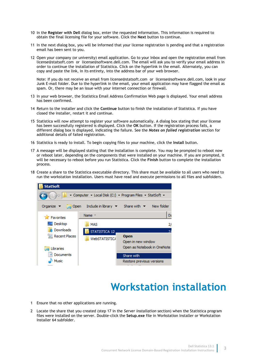- 10 In the **Register with Dell** dialog box, enter the requested information. This information is required to obtain the final licensing file for your software. Click the **Next** button to continue.
- 11 In the next dialog box, you will be informed that your license registration is pending and that a registration email has been sent to you.
- 12 Open your company (or university) email application. Go to your Inbox and open the registration email from license@statsoft.com or license@software.dell.com. The email will ask you to verify your email address in order to continue the installation of Statistica. Click on the hyperlink in the email. Alternately, you can copy and paste the link, in its entirety, into the address bar of your web browser.

Note: If you do not receive an email from license@statsoft.com or license@software.dell.com, look in your Junk E-mail folder. Due to the hyperlink in the email, your email application may have flagged the email as spam. Or, there may be an issue with your internet connection or firewall.

- 13 In your web browser, the Statistica Email Address Confirmation Web page is displayed. Your email address has been confirmed.
- 14 Return to the installer and click the **Continue** button to finish the installation of Statistica. If you have closed the installer, restart it and continue.
- 15 Statistica will now attempt to register your software automatically. A dialog box stating that your license has been successfully registered is displayed. Click the **OK** button. If the registration process fails, a different dialog box is displayed, indicating the failure. See the *Notes on failed registration* section for additional details of failed registration.
- 16 Statistica is ready to install. To begin copying files to your machine, click the **Install** button.
- 17 A message will be displayed stating that the installation is complete. You may be prompted to reboot now or reboot later, depending on the components that were installed on your machine. If you are prompted, it will be necessary to reboot before you run Statistica. Click the **Finish** button to complete the installation process.
- 18 Create a share to the Statistica executable directory. This share must be available to all users who need to run the workstation installation. Users must have read and execute permissions to all files and subfolders.



#### **Workstation installation**

- 1 Ensure that no other applications are running.
- 2 Locate the share that you created (step 17 in the *Server installation* section) when the Statistica program files were installed on the server. Double-click the **Setup.exe** file in Workstation Installer or Workstation Installer 64 subfolder.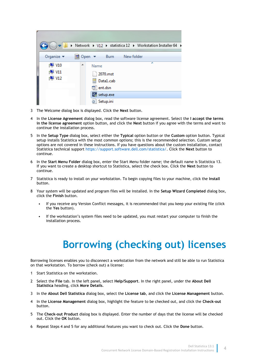| Network > V12 > statistica 12 > Workstation Installer 64 > |   |                             |           |            |   |  |
|------------------------------------------------------------|---|-----------------------------|-----------|------------|---|--|
| Organize $\blacktriangledown$                              |   | <mark>nd</mark> Open ▼ Burn |           | New folder |   |  |
| $\sqrt{2}$ V10                                             | ▲ | Name                        |           |            | ∸ |  |
| $\sqrt{2}$ V11                                             |   |                             | 2070.mst  |            |   |  |
| $\sqrt{2}$ V12                                             |   |                             | Data1.cab |            |   |  |
|                                                            |   | <sup>引</sup> ent.dsn        |           |            |   |  |
|                                                            |   |                             | setup.exe |            |   |  |
|                                                            |   |                             | Setup.ini |            |   |  |

- 3 The Welcome dialog box is displayed. Click the **Next** button.
- 4 In the **License Agreement** dialog box, read the software license agreement. Select the **I accept the terms in the license agreement** option button, and click the **Next** button if you agree with the terms and want to continue the installation process.
- 5 In the **Setup Type** dialog box, select either the **Typical** option button or the **Custom** option button. Typical setup installs Statistica with the most common options; this is the recommended selection. Custom setup options are not covered in these instructions. If you have questions about the custom installation, contact Statistica technical support [https://support.software.dell.com/statistica/.](https://support.software.dell.com/statistica/) Click the **Next** button to continue.
- 6 In the **Start Menu Folder** dialog box, enter the Start Menu folder name; the default name is Statistica 13. If you want to create a desktop shortcut to Statistica, select the check box. Click the **Next** button to continue.
- 7 Statistica is ready to install on your workstation. To begin copying files to your machine, click the **Install** button.
- 8 Your system will be updated and program files will be installed. In the **Setup Wizard Completed** dialog box, click the **Finish** button.
	- If you receive any Version Conflict messages, it is recommended that you keep your existing file (click the **Yes** button).
	- If the workstation's system files need to be updated, you must restart your computer to finish the installation process.

# **Borrowing (checking out) licenses**

Borrowing licenses enables you to disconnect a workstation from the network and still be able to run Statistica on that workstation. To borrow (check out) a license:

- 1 Start Statistica on the workstation.
- 2 Select the **File** tab. In the left panel, select **Help/Support**. In the right panel, under the **About Dell Statistica** heading, click **More Details**.
- 3 In the **About Dell Statistica** dialog box, select the **License tab**, and click the **License Management** button.
- 4 In the **License Management** dialog box, highlight the feature to be checked out, and click the **Check-out** button.
- 5 The **Check-out Product** dialog box is displayed. Enter the number of days that the license will be checked out. Click the **OK** button.
- 6 Repeat Steps 4 and 5 for any additional features you want to check out. Click the **Done** button.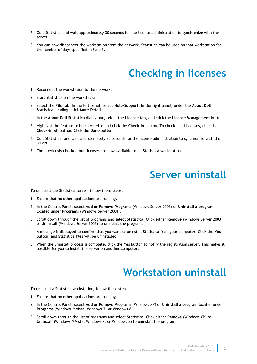- 7 Quit Statistica and wait approximately 30 seconds for the license administration to synchronize with the server.
- 8 You can now disconnect the workstation from the network. Statistica can be used on that workstation for the number of days specified in Step 5.

## **Checking in licenses**

- 1 Reconnect the workstation to the network.
- 2 Start Statistica on the workstation.
- 3 Select the **File** tab. In the left panel, select **Help/Support**. In the right panel, under the **About Dell Statistica** heading, click **More Details**.
- 4 In the **About Dell Statistica** dialog box, select the **License tab**, and click the **License Management** button.
- 5 Highlight the feature to be checked in and click the **Check-in** button. To check in all licenses, click the **Check-in All** button. Click the **Done** button.
- 6 Quit Statistica, and wait approximately 30 seconds for the license administration to synchronize with the server.
- 7 The previously checked-out licenses are now available to all Statistica workstations.

#### **Server uninstall**

To uninstall the Statistica server, follow these steps:

- 1 Ensure that no other applications are running.
- 2 In the Control Panel, select **Add or Remove Programs** (Windows Server 2003) or **Uninstall a program** located under **Programs** (Windows Server 2008).
- 3 Scroll down through the list of programs and select Statistica. Click either **Remove** (Windows Server 2003) or **Uninstall** (Windows Server 2008) to uninstall the program.
- 4 A message is displayed to confirm that you want to uninstall Statistica from your computer. Click the **Yes**  button, and Statistica files will be uninstalled.
- 5 When the uninstall process is complete, click the **Yes** button to notify the registration server. This makes it possible for you to install the server on another computer.

## **Workstation uninstall**

To uninstall a Statistica workstation, follow these steps:

- 1 Ensure that no other applications are running.
- 2 In the Control Panel, select **Add or Remove Programs** (Windows XP) or **Uninstall a program** located under **Programs** (WindowsTM Vista, Windows 7, or Windows 8).
- 3 Scroll down through the list of programs and select Statistica. Click either **Remove** (Windows XP) or **Uninstall** (WindowsTM Vista, Windows 7, or Windows 8) to uninstall the program.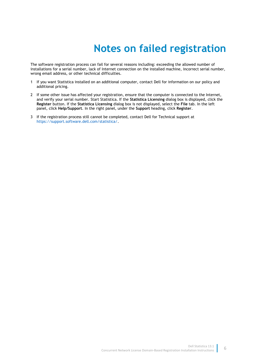## **Notes on failed registration**

The software registration process can fail for several reasons including: exceeding the allowed number of installations for a serial number, lack of Internet connection on the installed machine, incorrect serial number, wrong email address, or other technical difficulties.

- 1 If you want Statistica installed on an additional computer, contact Dell for information on our policy and additional pricing.
- 2 If some other issue has affected your registration, ensure that the computer is connected to the Internet, and verify your serial number. Start Statistica. If the **Statistica Licensing** dialog box is displayed, click the **Register** button. If the **Statistica Licensing** dialog box is not displayed, select the **File** tab. In the left panel, click **Help/Support**. In the right panel, under the **Support** heading, click **Register**.
- 3 If the registration process still cannot be completed, contact Dell for Technical support at [https://support.software.dell.com/statistica/.](https://support.software.dell.com/statistica/)